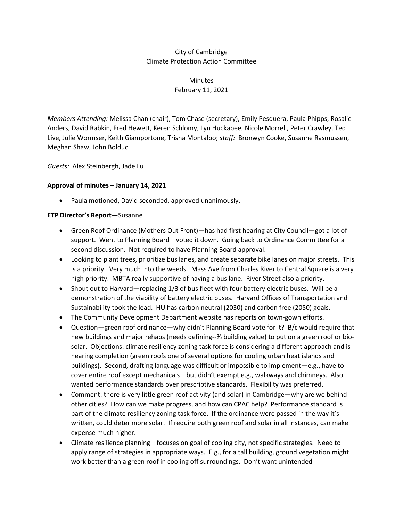# City of Cambridge Climate Protection Action Committee

**Minutes** February 11, 2021

*Members Attending:* Melissa Chan (chair), Tom Chase (secretary), Emily Pesquera, Paula Phipps, Rosalie Anders, David Rabkin, Fred Hewett, Keren Schlomy, Lyn Huckabee, Nicole Morrell, Peter Crawley, Ted Live, Julie Wormser, Keith Giamportone, Trisha Montalbo; *staff:* Bronwyn Cooke, Susanne Rasmussen, Meghan Shaw, John Bolduc

*Guests:* Alex Steinbergh, Jade Lu

### **Approval of minutes – January 14, 2021**

• Paula motioned, David seconded, approved unanimously.

#### **ETP Director's Report**—Susanne

- Green Roof Ordinance (Mothers Out Front)—has had first hearing at City Council—got a lot of support. Went to Planning Board—voted it down. Going back to Ordinance Committee for a second discussion. Not required to have Planning Board approval.
- Looking to plant trees, prioritize bus lanes, and create separate bike lanes on major streets. This is a priority. Very much into the weeds. Mass Ave from Charles River to Central Square is a very high priority. MBTA really supportive of having a bus lane. River Street also a priority.
- Shout out to Harvard—replacing 1/3 of bus fleet with four battery electric buses. Will be a demonstration of the viability of battery electric buses. Harvard Offices of Transportation and Sustainability took the lead. HU has carbon neutral (2030) and carbon free (2050) goals.
- The Community Development Department website has reports on town-gown efforts.
- Question—green roof ordinance—why didn't Planning Board vote for it? B/c would require that new buildings and major rehabs (needs defining--% building value) to put on a green roof or biosolar. Objections: climate resiliency zoning task force is considering a different approach and is nearing completion (green roofs one of several options for cooling urban heat islands and buildings). Second, drafting language was difficult or impossible to implement—e.g., have to cover entire roof except mechanicals—but didn't exempt e.g., walkways and chimneys. Also wanted performance standards over prescriptive standards. Flexibility was preferred.
- Comment: there is very little green roof activity (and solar) in Cambridge—why are we behind other cities? How can we make progress, and how can CPAC help? Performance standard is part of the climate resiliency zoning task force. If the ordinance were passed in the way it's written, could deter more solar. If require both green roof and solar in all instances, can make expense much higher.
- Climate resilience planning—focuses on goal of cooling city, not specific strategies. Need to apply range of strategies in appropriate ways. E.g., for a tall building, ground vegetation might work better than a green roof in cooling off surroundings. Don't want unintended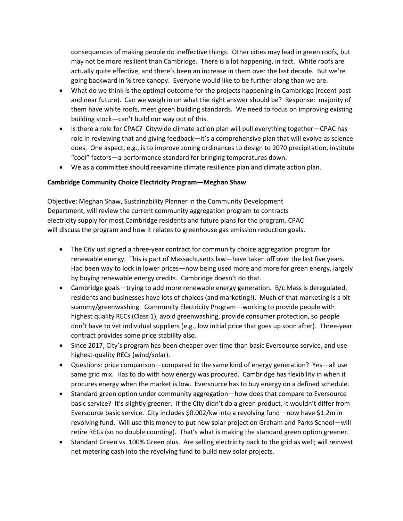consequences of making people do ineffective things. Other cities may lead in green roofs, but may not be more resilient than Cambridge. There is a lot happening, in fact. White roofs are actually quite effective, and there's been an increase in them over the last decade. But we're going backward in % tree canopy. Everyone would like to be further along than we are.

- What do we think is the optimal outcome for the projects happening in Cambridge (recent past and near future). Can we weigh in on what the right answer should be? Response: majority of them have white roofs, meet green building standards. We need to focus on improving existing building stock—can't build our way out of this.
- Is there a role for CPAC? Citywide climate action plan will pull everything together—CPAC has role in reviewing that and giving feedback—it's a comprehensive plan that will evolve as science does. One aspect, e.g., is to improve zoning ordinances to design to 2070 precipitation, institute "cool" factors—a performance standard for bringing temperatures down.
- We as a committee should reexamine climate resilience plan and climate action plan.

### **Cambridge Community Choice Electricity Program—Meghan Shaw**

Objective: Meghan Shaw, Sustainability Planner in the Community Development Department, will review the current community aggregation program to contracts electricity supply for most Cambridge residents and future plans for the program. CPAC will discuss the program and how it relates to greenhouse gas emission reduction goals.

- The City ust signed a three-year contract for community choice aggregation program for renewable energy. This is part of Massachusetts law—have taken off over the last five years. Had been way to lock in lower prices—now being used more and more for green energy, largely by buying renewable energy credits. Cambridge doesn't do that.
- Cambridge goals—trying to add more renewable energy generation. B/c Mass is deregulated, residents and businesses have lots of choices (and marketing!). Much of that marketing is a bit scammy/greenwashing. Community Electricity Program—working to provide people with highest quality RECs (Class 1), avoid greenwashing, provide consumer protection, so people don't have to vet individual suppliers (e.g., low initial price that goes up soon after). Three-year contract provides some price stability also.
- Since 2017, City's program has been cheaper over time than basic Eversource service, and use highest-quality RECs (wind/solar).
- Questions: price comparison—compared to the same kind of energy generation? Yes—all use same grid mix. Has to do with how energy was procured. Cambridge has flexibility in when it procures energy when the market is low. Eversource has to buy energy on a defined schedule.
- Standard green option under community aggregation—how does that compare to Eversource basic service? It's slightly greener. If the City didn't do a green product, it wouldn't differ from Eversource basic service. City includes \$0.002/kw into a revolving fund—now have \$1.2m in revolving fund. Will use this money to put new solar project on Graham and Parks School—will retire RECs (so no double counting). That's what is making the standard green option greener.
- Standard Green vs. 100% Green plus. Are selling electricity back to the grid as well; will reinvest net metering cash into the revolving fund to build new solar projects.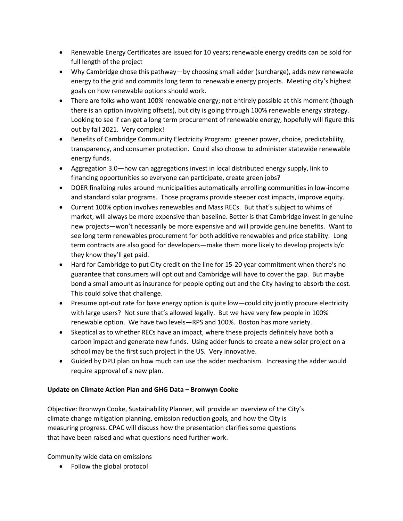- Renewable Energy Certificates are issued for 10 years; renewable energy credits can be sold for full length of the project
- Why Cambridge chose this pathway—by choosing small adder (surcharge), adds new renewable energy to the grid and commits long term to renewable energy projects. Meeting city's highest goals on how renewable options should work.
- There are folks who want 100% renewable energy; not entirely possible at this moment (though there is an option involving offsets), but city is going through 100% renewable energy strategy. Looking to see if can get a long term procurement of renewable energy, hopefully will figure this out by fall 2021. Very complex!
- Benefits of Cambridge Community Electricity Program: greener power, choice, predictability, transparency, and consumer protection. Could also choose to administer statewide renewable energy funds.
- Aggregation 3.0—how can aggregations invest in local distributed energy supply, link to financing opportunities so everyone can participate, create green jobs?
- DOER finalizing rules around municipalities automatically enrolling communities in low-income and standard solar programs. Those programs provide steeper cost impacts, improve equity.
- Current 100% option involves renewables and Mass RECs. But that's subject to whims of market, will always be more expensive than baseline. Better is that Cambridge invest in genuine new projects—won't necessarily be more expensive and will provide genuine benefits. Want to see long term renewables procurement for both additive renewables and price stability. Long term contracts are also good for developers—make them more likely to develop projects b/c they know they'll get paid.
- Hard for Cambridge to put City credit on the line for 15-20 year commitment when there's no guarantee that consumers will opt out and Cambridge will have to cover the gap. But maybe bond a small amount as insurance for people opting out and the City having to absorb the cost. This could solve that challenge.
- Presume opt-out rate for base energy option is quite low—could city jointly procure electricity with large users? Not sure that's allowed legally. But we have very few people in 100% renewable option. We have two levels—RPS and 100%. Boston has more variety.
- Skeptical as to whether RECs have an impact, where these projects definitely have both a carbon impact and generate new funds. Using adder funds to create a new solar project on a school may be the first such project in the US. Very innovative.
- Guided by DPU plan on how much can use the adder mechanism. Increasing the adder would require approval of a new plan.

## **Update on Climate Action Plan and GHG Data – Bronwyn Cooke**

Objective: Bronwyn Cooke, Sustainability Planner, will provide an overview of the City's climate change mitigation planning, emission reduction goals, and how the City is measuring progress. CPAC will discuss how the presentation clarifies some questions that have been raised and what questions need further work.

Community wide data on emissions

• Follow the global protocol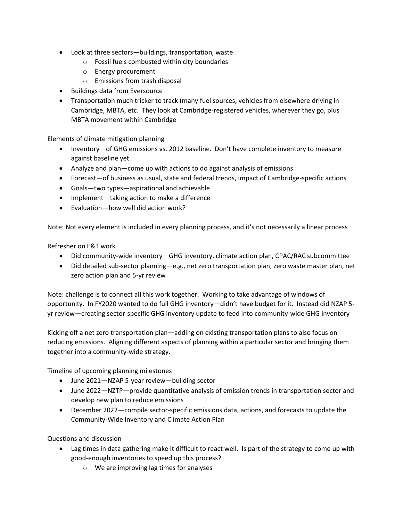- Look at three sectors—buildings, transportation, waste
	- o Fossil fuels combusted within city boundaries
	- o Energy procurement
	- o Emissions from trash disposal
- Buildings data from Eversource
- Transportation much tricker to track (many fuel sources, vehicles from elsewhere driving in Cambridge, MBTA, etc. They look at Cambridge-registered vehicles, wherever they go, plus MBTA movement within Cambridge

Elements of climate mitigation planning

- Inventory—of GHG emissions vs. 2012 baseline. Don't have complete inventory to measure against baseline yet.
- Analyze and plan—come up with actions to do against analysis of emissions
- Forecast—of business as usual, state and federal trends, impact of Cambridge-specific actions
- Goals—two types—aspirational and achievable
- Implement—taking action to make a difference
- Evaluation—how well did action work?

Note: Not every element is included in every planning process, and it's not necessarily a linear process

Refresher on E&T work

- Did community-wide inventory—GHG inventory, climate action plan, CPAC/RAC subcommittee
- Did detailed sub-sector planning—e.g., net zero transportation plan, zero waste master plan, net zero action plan and 5-yr review

Note: challenge is to connect all this work together. Working to take advantage of windows of opportunity. In FY2020 wanted to do full GHG inventory—didn't have budget for it. Instead did NZAP 5 yr review—creating sector-specific GHG inventory update to feed into community-wide GHG inventory

Kicking off a net zero transportation plan—adding on existing transportation plans to also focus on reducing emissions. Aligning different aspects of planning within a particular sector and bringing them together into a community-wide strategy.

Timeline of upcoming planning milestones

- June 2021—NZAP 5-year review—building sector
- June 2022—NZTP—provide quantitative analysis of emission trends in transportation sector and develop new plan to reduce emissions
- December 2022—compile sector-specific emissions data, actions, and forecasts to update the Community-Wide Inventory and Climate Action Plan

Questions and discussion

- Lag times in data gathering make it difficult to react well. Is part of the strategy to come up with good-enough inventories to speed up this process?
	- o We are improving lag times for analyses